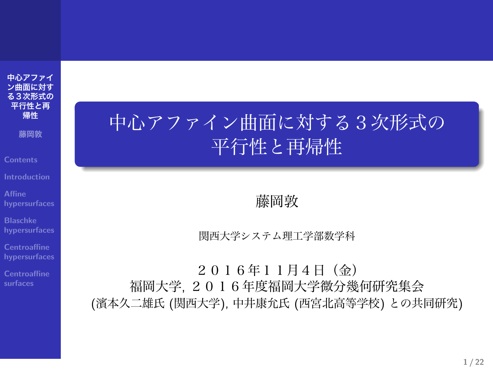**中心アファイ ン曲面に対す る3次形式の 平行性と再 帰性**

**藤岡敦**

**Blaschke hypersurfaces**

**Centroaffine surfaces**

中心アファイン曲面に対する3次形式の 平行性と再帰性

藤岡敦

関西大学システム理工学部数学科

2016年11月4日(金) 福岡大学, 2016年度福岡大学微分幾何研究集会 (濱本久二雄氏 (関西大学), 中井康允氏 (西宮北高等学校) との共同研究)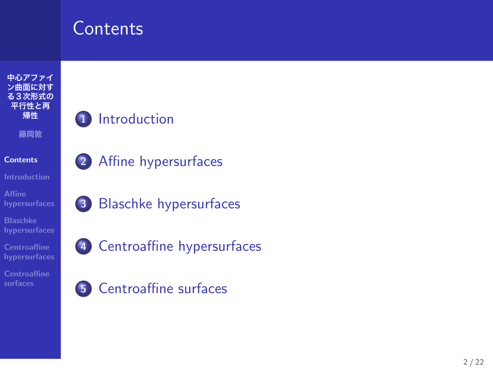# **Contents**



- **1** Introduction
- **2** Affine hypersurfaces
- **3** Blaschke hypersurfaces
- **4** Centroaffine hypersurfaces
- **5** Centroaffine surfaces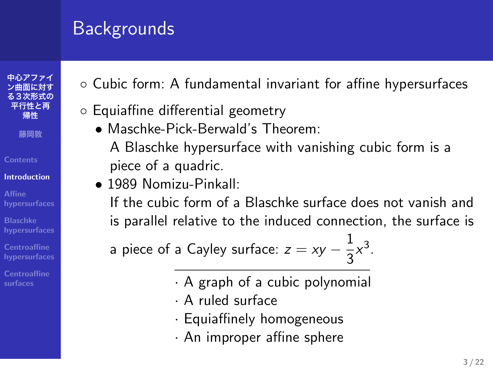## Backgrounds

**中心アファイ ン曲面に対す る3次形式の 平行性と再 帰性 藤岡敦**

**Contents Introduction Affine hypersurfaces Blaschke hypersurfaces**

**Centroaffine surfaces**

- *◦* Cubic form: A fundamental invariant for affine hypersurfaces
- *◦* Equiaffine differential geometry
	- *•* Maschke-Pick-Berwald's Theorem: A Blaschke hypersurface with vanishing cubic form is a piece of a quadric.
	- *•* 1989 Nomizu-Pinkall:
		- If the cubic form of a Blaschke surface does not vanish and is parallel relative to the induced connection, the surface is

 $\frac{1}{3}x^3$ .

a piece of a Cayley surface:  $z = xy - \frac{1}{2}$ 

- *·* A graph of a cubic polynomial
- *·* A ruled surface
- *·* Equiaffinely homogeneous
- *·* An improper affine sphere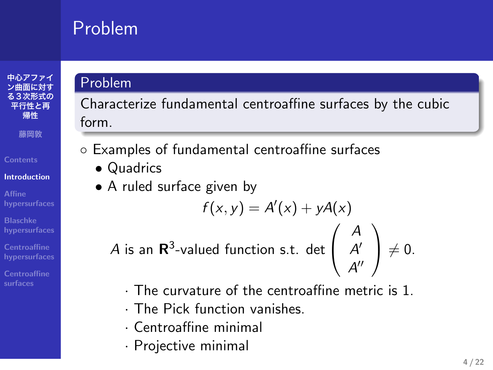# Problem



**Affine hypersurfaces Blaschke hypersurfaces**

**Centroaffine surfaces**

Problem

Characterize fundamental centroaffine surfaces by the cubic form.

*◦* Examples of fundamental centroaffine surfaces

- *•* Quadrics
- *•* A ruled surface given by

$$
f(x, y) = A'(x) + yA(x)
$$
  
*A* is an  $\mathbb{R}^3$ -valued function s.t. det  $\begin{pmatrix} A \\ A' \\ A'' \end{pmatrix} \neq 0$ .

- *·* The curvature of the centroaffine metric is 1.
- *·* The Pick function vanishes.
- *·* Centroaffine minimal
- *·* Projective minimal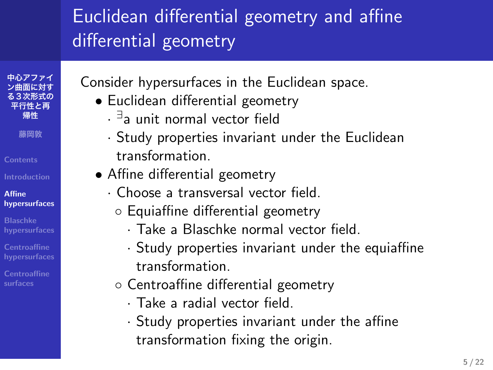## Euclidean differential geometry and affine differential geometry

Consider hypersurfaces in the Euclidean space.

- *•* Euclidean differential geometry
	- *· ∃* a unit normal vector field

**中心アファイ ン曲面に対す る3次形式の 平行性と再 帰性 藤岡敦 Contents**

**Affine hypersurfaces Blaschke hypersurfaces**

**Centroaffine surfaces**

- *·* Study properties invariant under the Euclidean transformation.
- *•* Affine differential geometry
	- *·* Choose a transversal vector field.
	- *◦* Equiaffine differential geometry
		- *·* Take a Blaschke normal vector field.
			- *·* Study properties invariant under the equiaffine transformation.
	- *◦* Centroaffine differential geometry
		- *·* Take a radial vector field.
		- *·* Study properties invariant under the affine transformation fixing the origin.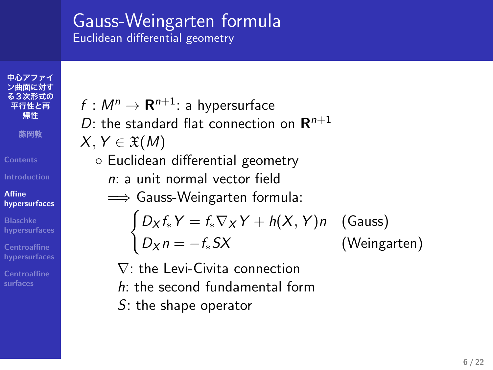#### Gauss-Weingarten formula Euclidean differential geometry

 $f : M^n \rightarrow \mathbf{R}^{n+1}$ : a hypersurface

**る3次形式の 平行性と再 帰性 藤岡敦 Contents Affine hypersurfaces**

**中心アファイ ン曲面に対す**

**Blaschke hypersurfaces Centroaffine surfaces**

*D*: the standard flat connection on **R** *n*+1 *X, Y ∈* X(*M*) *◦* Euclidean differential geometry *n*: a unit normal vector field =*⇒* Gauss-Weingarten formula:  $\int D_X f_* Y = f_* \nabla_X Y + h(X, Y) n$  (Gauss) *D<sup>X</sup> n* = *−f∗SX* (Weingarten)

*∇*: the Levi-Civita connection *h*: the second fundamental form

*S*: the shape operator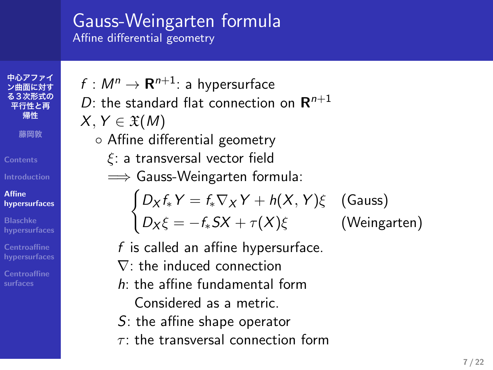# Gauss-Weingarten formula

Affine differential geometry

**平行性と再 帰性 藤岡敦 Contents Affine hypersurfaces Blaschke hypersurfaces Centroaffine surfaces**

**中心アファイ ン曲面に対す る3次形式の**

 $f : M^n \rightarrow \mathbf{R}^{n+1}$ : a hypersurface *D*: the standard flat connection on **R** *n*+1  $X, Y \in \mathfrak{X}(M)$ *◦* Affine differential geometry *ξ*: a transversal vector field

=*⇒* Gauss-Weingarten formula:

$$
\begin{cases}\nD_X f_* Y = f_* \nabla_X Y + h(X, Y)\xi \quad \text{(Gauss)}\\ \nD_X \xi = -f_* S X + \tau(X)\xi \quad \text{(Weingarten)}\n\end{cases}
$$

*f* is called an affine hypersurface.

- *∇*: the induced connection
- *h*: the affine fundamental form Considered as a metric.
- *S*: the affine shape operator
- *τ* : the transversal connection form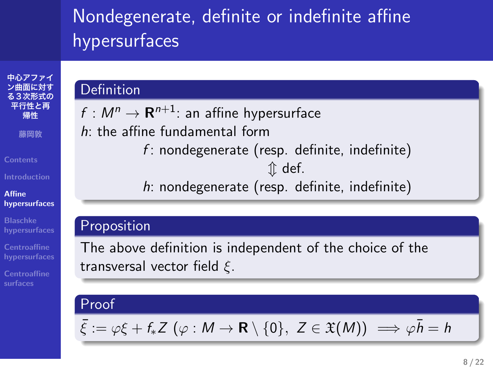## Nondegenerate, definite or indefinite affine hypersurfaces

*f* : nondegenerate (resp. definite, indefinite) *⇕* def. *h*: nondegenerate (resp. definite, indefinite)

 $f : M^n \to \mathbf{R}^{n+1}$ : an affine hypersurface

*h*: the affine fundamental form

transversal vector field *ξ*.

#### **中心アファイ ン曲面に対す る3次形式の 平行性と再 帰性 藤岡敦 Contents**

**Definition** 

Proposition

Proof

**Affine hypersurfaces Blaschke hypersurfaces**

**Centroaffine surfaces**

 $\bar{\xi} := \varphi \xi + f_* Z \ (\varphi : M \to \mathbf{R} \setminus \{0\}, Z \in \mathfrak{X}(M)) \implies \varphi \bar{h} = h$ 

The above definition is independent of the choice of the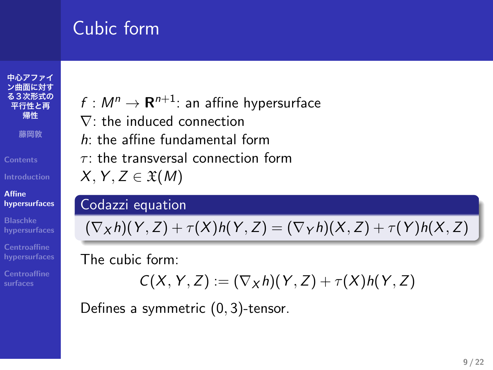# Cubic form

**中心アファイ ン曲面に対す る3次形式の 平行性と再 帰性 藤岡敦 Contents Affine hypersurfaces Blaschke hypersurfaces Centroaffine surfaces**

# $f : M^n \rightarrow \mathbf{R}^{n+1}$ : an affine hypersurface

*∇*: the induced connection

*h*: the affine fundamental form

*τ* : the transversal connection form

 $X, Y, Z \in \mathfrak{X}(M)$ 

#### Codazzi equation

 $(\nabla_X h)(Y, Z) + \tau(X)h(Y, Z) = (\nabla_Y h)(X, Z) + \tau(Y)h(X, Z)$ 

The cubic form:

$$
C(X, Y, Z) := (\nabla_X h)(Y, Z) + \tau(X)h(Y, Z)
$$

Defines a symmetric (0*,* 3)-tensor.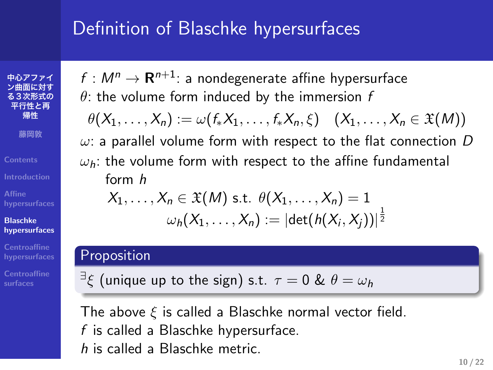## Definition of Blaschke hypersurfaces

**中心アファイ ン曲面に対す る3次形式の 平行性と再 帰性 藤岡敦 Contents Introduction Affine hypersurfaces Blaschke hypersurfaces Centroaffine surfaces**

 $f : M^n \rightarrow \mathbf{R}^{n+1}$ : a nondegenerate affine hypersurface *θ*: the volume form induced by the immersion *f*

 $\theta(X_1, \ldots, X_n) := \omega(f_*X_1, \ldots, f_*X_n, \xi) \quad (X_1, \ldots, X_n \in \mathfrak{X}(M))$ 

*ω*: a parallel volume form with respect to the flat connection *D ωh*: the volume form with respect to the affine fundamental

form *h*

$$
X_1, \ldots, X_n \in \mathfrak{X}(M) \text{ s.t. } \theta(X_1, \ldots, X_n) = 1
$$
  

$$
\omega_h(X_1, \ldots, X_n) := |\det(h(X_i, X_j))|^{\frac{1}{2}}
$$

#### Proposition

*∃ ξ* (unique up to the sign) s.t. *τ* = 0 & *θ* = *ω<sup>h</sup>*

The above *ξ* is called a Blaschke normal vector field. *f* is called a Blaschke hypersurface. *h* is called a Blaschke metric.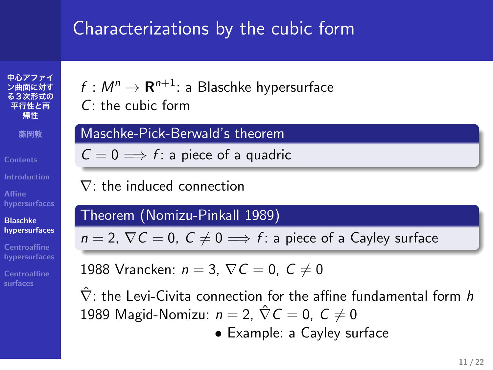## Characterizations by the cubic form

**中心アファイ ン曲面に対す る3次形式の 平行性と再 帰性 藤岡敦 Contents Affine hypersurfaces Blaschke hypersurfaces Centroaffine surfaces**

 $f : M^n \rightarrow \mathbf{R}^{n+1}$ : a Blaschke hypersurface *C*: the cubic form

Maschke-Pick-Berwald's theorem

 $C = 0 \Longrightarrow f$ : a piece of a quadric

*∇*: the induced connection

Theorem (Nomizu-Pinkall 1989)

 $n = 2$ ,  $\nabla C = 0$ ,  $C \neq 0 \implies f$ : a piece of a Cayley surface

1988 Vrancken: *n* = 3, *∇C* = 0, *C ̸*= 0

*∇*ˆ : the Levi-Civita connection for the affine fundamental form *h* 1989 Magid-Nomizu:  $n = 2$ ,  $\hat{\nabla} C = 0$ ,  $C \neq 0$ 

*•* Example: a Cayley surface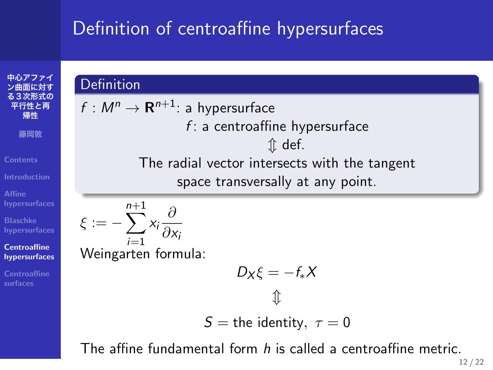# Definition of centroaffine hypersurfaces

**中心アファイ ン曲面に対す る3次形式の 平行性と再 帰性 藤岡敦 Contents Affine hypersurfaces Blaschke hypersurfaces Centroaffine hypersurfaces Centroaffine surfaces**

**Definition**  $f : M^n \rightarrow \mathbf{R}^{n+1}$ : a hypersurface *f* : a centroaffine hypersurface *⇕* def. The radial vector intersects with the tangent space transversally at any point. *ξ* := *−* ∑*n*+1 *i*=1 *xi ∂ ∂x<sup>i</sup>* Weingarten formula:  $D_X\xi = -f_*X$ *⇕*

$$
S = \text{the identity}, \ \tau = 0
$$

The affine fundamental form *h* is called a centroaffine metric.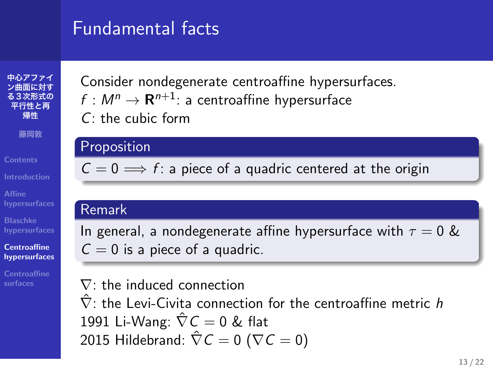## Fundamental facts

**中心アファイ ン曲面に対す る3次形式の 平行性と再 帰性 藤岡敦 Contents Affine hypersurfaces Blaschke hypersurfaces Centroaffine hypersurfaces Centroaffine surfaces**

Consider nondegenerate centroaffine hypersurfaces.  $f : M^n \to \mathbf{R}^{n+1}$ : a centroaffine hypersurface

*C*: the cubic form

#### Proposition

 $C = 0 \implies f$ : a piece of a quadric centered at the origin

#### Remark

In general, a nondegenerate affine hypersurface with  $\tau = 0$  &  $C = 0$  is a piece of a quadric.

*∇*: the induced connection *∇*ˆ : the Levi-Civita connection for the centroaffine metric *h* 1991 Li-Wang: *∇*ˆ *C* = 0 & flat 2015 Hildebrand:  $\hat{\nabla} C = 0$  ( $\nabla C = 0$ )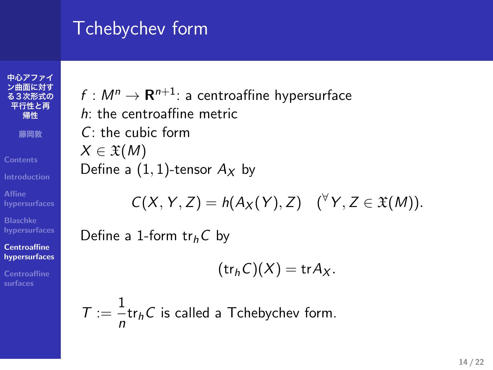# Tchebychev form

**中心アファイ ン曲面に対す る3次形式の 平行性と再 帰性 藤岡敦 Contents Affine hypersurfaces Blaschke hypersurfaces Centroaffine hypersurfaces Centroaffine surfaces**

 $f : M^n \to \mathbf{R}^{n+1}$ : a centroaffine hypersurface *h*: the centroaffine metric *C*: the cubic form *X ∈* X(*M*) Define a  $(1, 1)$ -tensor  $A_X$  by

$$
C(X, Y, Z) = h(A_X(Y), Z) \quad (^\forall Y, Z \in \mathfrak{X}(M)).
$$

Define a 1-form tr*hC* by

$$
(\operatorname{tr}_h C)(X) = \operatorname{tr} A_X.
$$

 $T := \frac{1}{1}$  $\frac{1}{n}$ tr<sub>h</sub>C is called a Tchebychev form.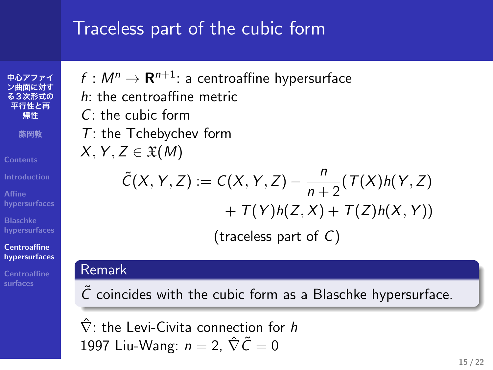## Traceless part of the cubic form

 $f : M^n \rightarrow \mathbf{R}^{n+1}$ : a centroaffine hypersurface

**中心アファイ ン曲面に対す る3次形式の 平行性と再 帰性 藤岡敦 Contents Centroaffine hypersurfaces Centroaffine surfaces**

*h*: the centroaffine metric *C*: the cubic form *T*: the Tchebychev form  $X, Y, Z \in \mathfrak{X}(M)$  $\tilde{C}(X, Y, Z) := C(X, Y, Z) - \frac{n}{2}$  $\frac{n}{n+2}$ (*T*(*X*)*h*(*Y*, *Z*)  $+ 7(Y)h(Z, X) + T(Z)h(X, Y)$ 

(traceless part of *C*)

#### Remark

 $\tilde{C}$  coincides with the cubic form as a Blaschke hypersurface.

*∇*ˆ : the Levi-Civita connection for *h* 1997 Liu-Wang:  $n = 2$ ,  $\hat{\nabla}\tilde{C} = 0$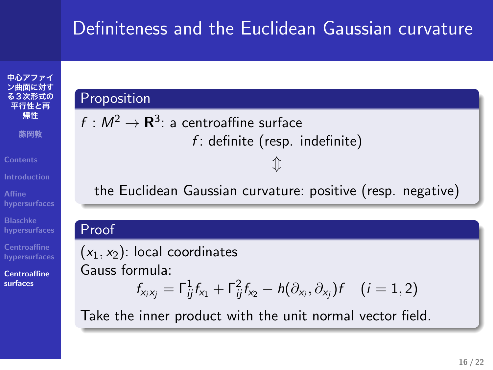## Definiteness and the Euclidean Gaussian curvature

*f* : definite (resp. indefinite) *⇕*

the Euclidean Gaussian curvature: positive (resp. negative)

## **中心アファイ ン曲面に対す る3次形式の 平行性と再 帰性 藤岡敦 Contents Affine hypersurfaces Blaschke hypersurfaces**

**Proposition** 

**Centroaffine surfaces**

#### Proof  $(x_1, x_2)$ : local coordinates Gauss formula:  $f_{x_i x_j} = \Gamma_{ij}^1 f_{x_1} + \Gamma_{ij}^2 f_{x_2} - h(\partial_{x_i}, \partial_{x_j}) f$  (*i* = 1, 2) Take the inner product with the unit normal vector field.

 $f: M^2 \rightarrow {\bf R}^3$ : a centroaffine surface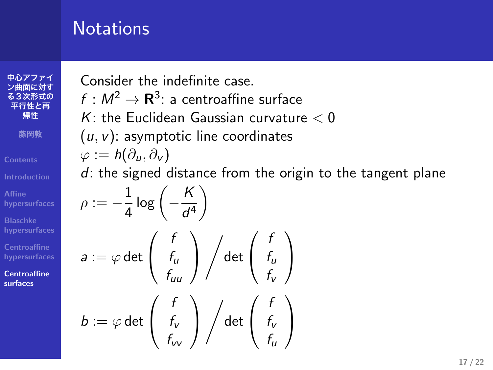# **Notations**

**中心アファイ ン曲面に対す る3次形式の 平行性と再 帰性 藤岡敦 Affine hypersurfaces Blaschke hypersurfaces Centroaffine surfaces**

Consider the indefinite case.

 $f : M^2 \to \mathbf{R}^3$ : a centroaffine surface

*K*: the Euclidean Gaussian curvature *<* 0

(*u, v*): asymptotic line coordinates

$$
\varphi:=h(\partial_u,\partial_v)
$$

*d*: the signed distance from the origin to the tangent plane

$$
\rho := -\frac{1}{4} \log \left( -\frac{K}{d^4} \right)
$$
\n
$$
a := \varphi \det \left( \begin{array}{c} f \\ f_u \\ f_{uu} \end{array} \right) \Big/ \det \left( \begin{array}{c} f \\ f_u \\ f_v \end{array} \right)
$$
\n
$$
b := \varphi \det \left( \begin{array}{c} f \\ f_v \\ f_{vv} \end{array} \right) \Big/ \det \left( \begin{array}{c} f \\ f_v \\ f_u \end{array} \right)
$$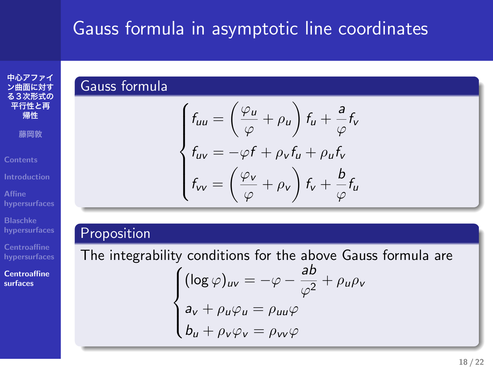# Gauss formula in asymptotic line coordinates

## **中心アファイ ン曲面に対す る3次形式の 平行性と再 帰性 藤岡敦 Contents Introduction Blaschke hypersurfaces**

Gauss formula

 $\sqrt{ }$  $\int$ 

 $f_{uu} = \left(\frac{\varphi_u}{\sqrt{2}}\right)$ 

 $f_{VV} = \left(\frac{\varphi_{V}}{\varphi_{V}}\right)$ 

 $\overline{\mathcal{L}}$ 

# **Centroaffine surfaces**

Proposition  
\nThe integrability conditions for the above Gauss formula are  
\n
$$
\begin{cases}\n(\log \varphi)_{uv} = -\varphi - \frac{ab}{\varphi^2} + \rho_u \rho_v \\
a_v + \rho_u \varphi_u = \rho_{uu} \varphi \\
b_u + \rho_v \varphi_v = \rho_{vv} \varphi\n\end{cases}
$$

 $f_{uv} = -\varphi f + \rho_v f_u + \rho_u f_v$ 

 $\left(\frac{\rho_u}{\varphi} + \rho_u\right) f_u + \frac{a}{\varphi}$ 

 $\frac{\rho_{\mathbf{v}}}{\varphi} + \rho_{\mathbf{v}}\bigg) f_{\mathbf{v}} + \frac{b}{\varphi}$ 

 $\frac{a}{\varphi}f_v$ 

 $\frac{\tilde{\mathcal{L}}}{\varphi}f_u$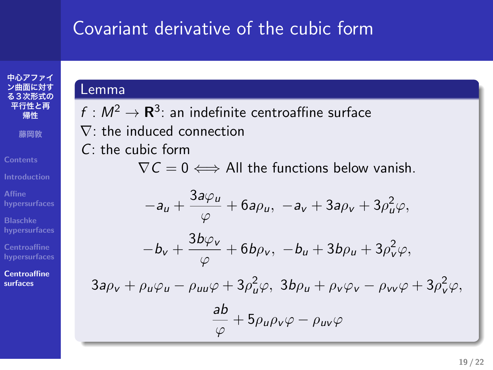# Covariant derivative of the cubic form

#### **ン曲面に対す る3次形式の 平行性と再 帰性 藤岡敦 Contents Introduction**

中心アフ:

**Centroaffine surfaces**

$$
\fbox{Lemma}\\
$$

 $f: M^2 \to \mathbf{R}^3$ : an indefinite centroaffine surface *∇*: the induced connection *C*: the cubic form *∇C* = 0 *⇐⇒* All the functions below vanish.  $-a_u + \frac{3a\varphi_u}{2a}$  $\frac{d\varphi_u}{\varphi}$  + 6*a* $\rho_u$ , *−a*<sub>*v*</sub> + 3*a* $\rho_v$  + 3 $\rho_u^2 \varphi$ ,

$$
-b_v+\frac{3b\varphi_v}{\varphi}+6b\rho_v,\ -b_u+3b\rho_u+3\rho_v^2\varphi,
$$

 $3a\rho_v + \rho_u\varphi_u - \rho_{uu}\varphi + 3\rho_u^2\varphi$ ,  $3b\rho_u + \rho_v\varphi_v - \rho_{vv}\varphi + 3\rho_v^2\varphi$ ,

$$
\frac{ab}{\varphi}+5\rho_{u}\rho_{v}\varphi-\rho_{u\nu}\varphi
$$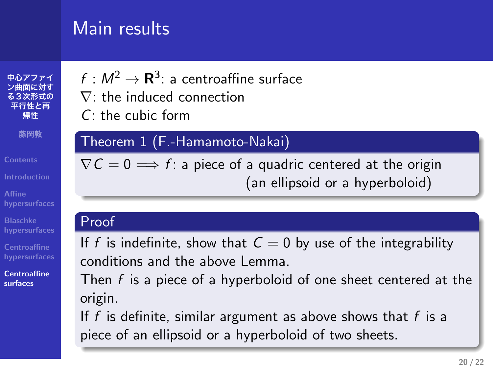## Main results

 $f : M^2 \to \mathbf{R}^3$ : a centroaffine surface *∇*: the induced connection

*C*: the cubic form

#### Theorem 1 (F.-Hamamoto-Nakai)

 $\nabla \mathcal{C} = 0 \Longrightarrow f$ : a piece of a quadric centered at the origin (an ellipsoid or a hyperboloid)

#### Proof

If *f* is indefinite, show that  $C = 0$  by use of the integrability conditions and the above Lemma.

Then *f* is a piece of a hyperboloid of one sheet centered at the origin.

If *f* is definite, similar argument as above shows that *f* is a piece of an ellipsoid or a hyperboloid of two sheets.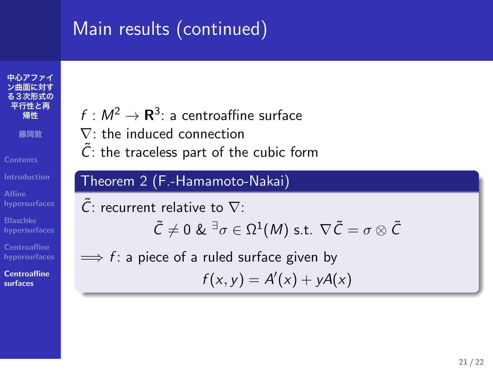# Main results (continued)

**中心アファイ ン曲面に対す る3次形式の 平行性と再 帰性 藤岡敦 Contents Affine hypersurfaces**

**Blaschke hypersurfaces Centroaffine surfaces**

 $f: M^2 \rightarrow {\bf R}^3$ : a centroaffine surface

- *∇*: the induced connection
- $\tilde{C}$ : the traceless part of the cubic form

#### Theorem 2 (F.-Hamamoto-Nakai)

*C*˜: recurrent relative to *∇*:  $\tilde{\mathcal{C}}\neq 0$  &  $^{\exists}\sigma\in\Omega^1(M)$  s.t.  $\nabla\tilde{\mathcal{C}}=\sigma\otimes\tilde{\mathcal{C}}$ =*⇒ f* : a piece of a ruled surface given by  $f(x, y) = A'(x) + yA(x)$